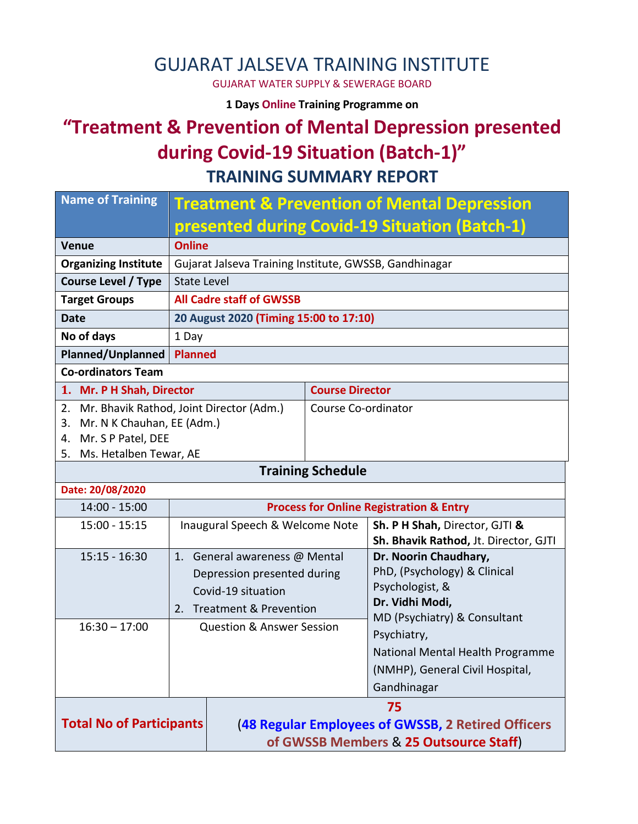## GUJARAT JALSEVA TRAINING INSTITUTE

GUJARAT WATER SUPPLY & SEWERAGE BOARD

**1 Days Online Training Programme on** 

## **"Treatment & Prevention of Mental Depression presented during Covid-19 Situation (Batch-1)" TRAINING SUMMARY REPORT**

| <b>Name of Training</b>                                                                            | <b>Treatment &amp; Prevention of Mental Depression</b>                                                          |                                                                                                            |                                                                                                                             |  |
|----------------------------------------------------------------------------------------------------|-----------------------------------------------------------------------------------------------------------------|------------------------------------------------------------------------------------------------------------|-----------------------------------------------------------------------------------------------------------------------------|--|
|                                                                                                    | presented during Covid-19 Situation (Batch-1)                                                                   |                                                                                                            |                                                                                                                             |  |
| <b>Venue</b>                                                                                       | <b>Online</b>                                                                                                   |                                                                                                            |                                                                                                                             |  |
| <b>Organizing Institute</b>                                                                        | Gujarat Jalseva Training Institute, GWSSB, Gandhinagar                                                          |                                                                                                            |                                                                                                                             |  |
| <b>Course Level / Type</b>                                                                         | <b>State Level</b>                                                                                              |                                                                                                            |                                                                                                                             |  |
| <b>Target Groups</b>                                                                               | <b>All Cadre staff of GWSSB</b>                                                                                 |                                                                                                            |                                                                                                                             |  |
| <b>Date</b>                                                                                        | 20 August 2020 (Timing 15:00 to 17:10)                                                                          |                                                                                                            |                                                                                                                             |  |
| No of days                                                                                         | 1 Day                                                                                                           |                                                                                                            |                                                                                                                             |  |
| <b>Planned/Unplanned</b>                                                                           | <b>Planned</b>                                                                                                  |                                                                                                            |                                                                                                                             |  |
| <b>Co-ordinators Team</b>                                                                          |                                                                                                                 |                                                                                                            |                                                                                                                             |  |
| 1. Mr. P H Shah, Director                                                                          |                                                                                                                 | <b>Course Director</b>                                                                                     |                                                                                                                             |  |
| 2.<br>Mr. N K Chauhan, EE (Adm.)<br>3.<br>Mr. S P Patel, DEE<br>4.<br>Ms. Hetalben Tewar, AE<br>5. | Mr. Bhavik Rathod, Joint Director (Adm.)<br>Course Co-ordinator                                                 |                                                                                                            |                                                                                                                             |  |
|                                                                                                    |                                                                                                                 | <b>Training Schedule</b>                                                                                   |                                                                                                                             |  |
| Date: 20/08/2020                                                                                   |                                                                                                                 |                                                                                                            |                                                                                                                             |  |
| $14:00 - 15:00$                                                                                    | <b>Process for Online Registration &amp; Entry</b>                                                              |                                                                                                            |                                                                                                                             |  |
| $15:00 - 15:15$                                                                                    |                                                                                                                 | Sh. P H Shah, Director, GJTI &<br>Inaugural Speech & Welcome Note<br>Sh. Bhavik Rathod, Jt. Director, GJTI |                                                                                                                             |  |
| $15:15 - 16:30$                                                                                    | 1. General awareness @ Mental<br>Depression presented during<br>Covid-19 situation<br>2. Treatment & Prevention |                                                                                                            | Dr. Noorin Chaudhary,<br>PhD, (Psychology) & Clinical<br>Psychologist, &<br>Dr. Vidhi Modi,<br>MD (Psychiatry) & Consultant |  |
| $16:30 - 17:00$                                                                                    | <b>Question &amp; Answer Session</b>                                                                            |                                                                                                            | Psychiatry,<br>National Mental Health Programme<br>(NMHP), General Civil Hospital,<br>Gandhinagar                           |  |
| <b>Total No of Participants</b>                                                                    |                                                                                                                 | 75<br>(48 Regular Employees of GWSSB, 2 Retired Officers<br>of GWSSB Members & 25 Outsource Staff)         |                                                                                                                             |  |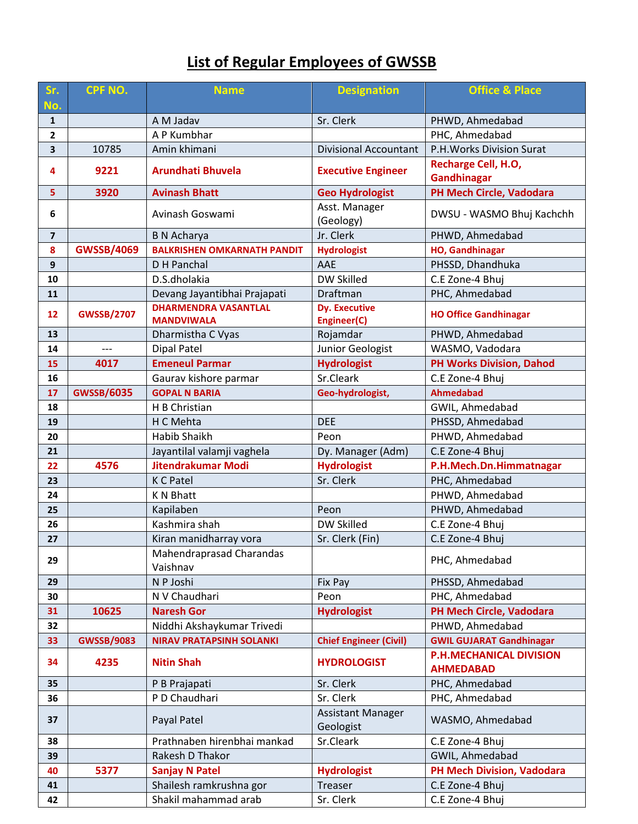# **List of Regular Employees of GWSSB**

| Sr.                     | <b>CPF NO.</b>    | <b>Name</b>                                      | <b>Designation</b>                    | <b>Office &amp; Place</b>                          |
|-------------------------|-------------------|--------------------------------------------------|---------------------------------------|----------------------------------------------------|
| No.                     |                   |                                                  |                                       |                                                    |
| $\mathbf{1}$            |                   | A M Jadav                                        | Sr. Clerk                             | PHWD, Ahmedabad                                    |
| $\mathbf{2}$            |                   | A P Kumbhar<br>Amin khimani                      |                                       | PHC, Ahmedabad                                     |
| $\overline{\mathbf{3}}$ | 10785             |                                                  | <b>Divisional Accountant</b>          | P.H. Works Division Surat                          |
| 4                       | 9221              | <b>Arundhati Bhuvela</b>                         | <b>Executive Engineer</b>             | Recharge Cell, H.O,<br><b>Gandhinagar</b>          |
| 5.                      | 3920              | <b>Avinash Bhatt</b>                             | <b>Geo Hydrologist</b>                | PH Mech Circle, Vadodara                           |
| 6                       |                   | Avinash Goswami                                  | Asst. Manager<br>(Geology)            | DWSU - WASMO Bhuj Kachchh                          |
| $\overline{\mathbf{z}}$ |                   | <b>B N Acharya</b>                               | Jr. Clerk                             | PHWD, Ahmedabad                                    |
| $\boldsymbol{8}$        | <b>GWSSB/4069</b> | <b>BALKRISHEN OMKARNATH PANDIT</b>               | <b>Hydrologist</b>                    | <b>HO, Gandhinagar</b>                             |
| $\boldsymbol{9}$        |                   | D H Panchal                                      | AAE                                   | PHSSD, Dhandhuka                                   |
| 10                      |                   | D.S.dholakia                                     | <b>DW Skilled</b>                     | C.E Zone-4 Bhuj                                    |
| 11                      |                   | Devang Jayantibhai Prajapati                     | Draftman                              | PHC, Ahmedabad                                     |
| 12                      | <b>GWSSB/2707</b> | <b>DHARMENDRA VASANTLAL</b><br><b>MANDVIWALA</b> | <b>Dy. Executive</b><br>Engineer(C)   | <b>HO Office Gandhinagar</b>                       |
| 13                      |                   | Dharmistha C Vyas                                | Rojamdar                              | PHWD, Ahmedabad                                    |
| 14                      | $---$             | <b>Dipal Patel</b>                               | Junior Geologist                      | WASMO, Vadodara                                    |
| 15                      | 4017              | <b>Emeneul Parmar</b>                            | <b>Hydrologist</b>                    | <b>PH Works Division, Dahod</b>                    |
| 16                      |                   | Gaurav kishore parmar                            | Sr.Cleark                             | C.E Zone-4 Bhuj                                    |
| 17                      | <b>GWSSB/6035</b> | <b>GOPAL N BARIA</b>                             | Geo-hydrologist,                      | <b>Ahmedabad</b>                                   |
| 18                      |                   | H B Christian                                    |                                       | GWIL, Ahmedabad                                    |
| 19                      |                   | H C Mehta                                        | <b>DEE</b>                            | PHSSD, Ahmedabad                                   |
| 20                      |                   | Habib Shaikh                                     | Peon                                  | PHWD, Ahmedabad                                    |
| 21                      |                   | Jayantilal valamji vaghela                       | Dy. Manager (Adm)                     | C.E Zone-4 Bhuj                                    |
| 22                      | 4576              | Jitendrakumar Modi                               | <b>Hydrologist</b>                    | P.H.Mech.Dn.Himmatnagar                            |
| 23                      |                   | K C Patel                                        | Sr. Clerk                             | PHC, Ahmedabad                                     |
| 24                      |                   | <b>KN Bhatt</b>                                  |                                       | PHWD, Ahmedabad                                    |
| 25                      |                   | Kapilaben                                        | Peon                                  | PHWD, Ahmedabad                                    |
| 26                      |                   | Kashmira shah                                    | <b>DW Skilled</b>                     | C.E Zone-4 Bhuj                                    |
| 27                      |                   | Kiran manidharray vora                           | Sr. Clerk (Fin)                       | C.E Zone-4 Bhuj                                    |
| 29                      |                   | Mahendraprasad Charandas<br>Vaishnav             |                                       | PHC, Ahmedabad                                     |
| 29                      |                   | N P Joshi                                        | Fix Pay                               | PHSSD, Ahmedabad                                   |
| 30                      |                   | N V Chaudhari                                    | Peon                                  | PHC, Ahmedabad                                     |
| 31                      | 10625             | <b>Naresh Gor</b>                                | <b>Hydrologist</b>                    | PH Mech Circle, Vadodara                           |
| 32                      |                   | Niddhi Akshaykumar Trivedi                       |                                       | PHWD, Ahmedabad                                    |
| 33                      | <b>GWSSB/9083</b> | <b>NIRAV PRATAPSINH SOLANKI</b>                  | <b>Chief Engineer (Civil)</b>         | <b>GWIL GUJARAT Gandhinagar</b>                    |
| 34                      | 4235              | <b>Nitin Shah</b>                                | <b>HYDROLOGIST</b>                    | <b>P.H.MECHANICAL DIVISION</b><br><b>AHMEDABAD</b> |
| 35                      |                   | P B Prajapati                                    | Sr. Clerk                             | PHC, Ahmedabad                                     |
| 36                      |                   | P D Chaudhari                                    | Sr. Clerk                             | PHC, Ahmedabad                                     |
| 37                      |                   | Payal Patel                                      | <b>Assistant Manager</b><br>Geologist | WASMO, Ahmedabad                                   |
| 38                      |                   | Prathnaben hirenbhai mankad                      | Sr.Cleark                             | C.E Zone-4 Bhuj                                    |
| 39                      |                   | Rakesh D Thakor                                  |                                       | GWIL, Ahmedabad                                    |
| 40                      | 5377              | <b>Sanjay N Patel</b>                            | <b>Hydrologist</b>                    | <b>PH Mech Division, Vadodara</b>                  |
| 41                      |                   | Shailesh ramkrushna gor                          | Treaser                               | C.E Zone-4 Bhuj                                    |
| 42                      |                   | Shakil mahammad arab                             | Sr. Clerk                             | C.E Zone-4 Bhuj                                    |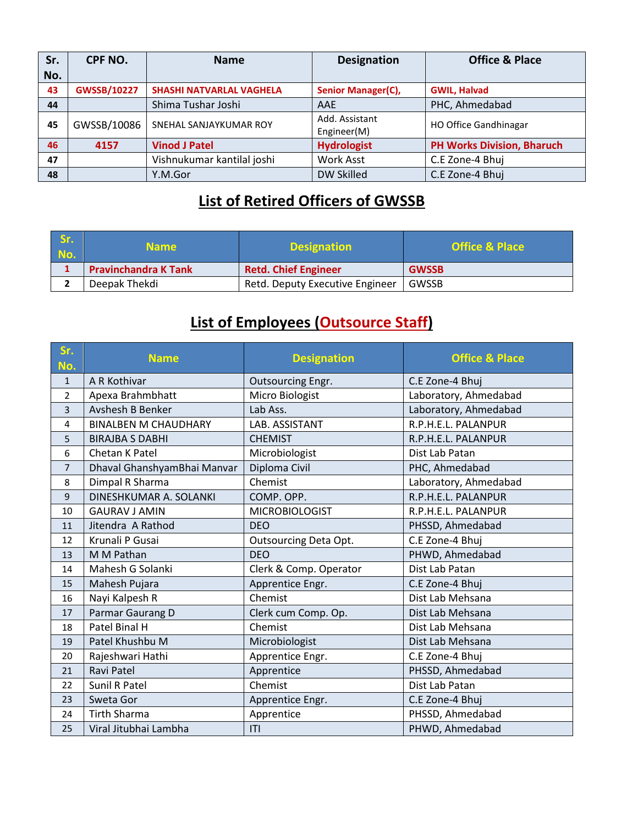| Sr.               | CPF NO.            | <b>Name</b>                     | <b>Designation</b>        | <b>Office &amp; Place</b>         |
|-------------------|--------------------|---------------------------------|---------------------------|-----------------------------------|
| No.               |                    |                                 |                           |                                   |
| 43                | <b>GWSSB/10227</b> | <b>SHASHI NATVARLAL VAGHELA</b> | <b>Senior Manager(C),</b> | <b>GWIL, Halvad</b>               |
| 44                |                    | Shima Tushar Joshi              | AAE                       | PHC, Ahmedabad                    |
| GWSSB/10086<br>45 |                    | SNEHAL SANJAYKUMAR ROY          | Add. Assistant            | <b>HO Office Gandhinagar</b>      |
|                   |                    |                                 | Engineer(M)               |                                   |
| 46                | 4157               | <b>Vinod J Patel</b>            | <b>Hydrologist</b>        | <b>PH Works Division, Bharuch</b> |
| 47                |                    | Vishnukumar kantilal joshi      | <b>Work Asst</b>          | C.E Zone-4 Bhuj                   |
| 48                |                    | Y.M.Gor                         | DW Skilled                | C.E Zone-4 Bhuj                   |

## **List of Retired Officers of GWSSB**

| Sr.<br>No. | <b>Name</b>                 | <b>Designation</b>              | <b>Office &amp; Place</b> |
|------------|-----------------------------|---------------------------------|---------------------------|
|            | <b>Pravinchandra K Tank</b> | <b>Retd. Chief Engineer</b>     | <b>GWSSB</b>              |
|            | Deepak Thekdi               | Retd. Deputy Executive Engineer | GWSSB                     |

#### **List of Employees (Outsource Staff)**

| Sr.<br>No.     | <b>Name</b>                 | <b>Designation</b>     | <b>Office &amp; Place</b> |
|----------------|-----------------------------|------------------------|---------------------------|
| $\mathbf{1}$   | A R Kothivar                | Outsourcing Engr.      | C.E Zone-4 Bhuj           |
| 2              | Apexa Brahmbhatt            | Micro Biologist        | Laboratory, Ahmedabad     |
| 3              | Avshesh B Benker            | Lab Ass.               | Laboratory, Ahmedabad     |
| 4              | <b>BINALBEN M CHAUDHARY</b> | LAB. ASSISTANT         | R.P.H.E.L. PALANPUR       |
| 5              | <b>BIRAJBA S DABHI</b>      | <b>CHEMIST</b>         | R.P.H.E.L. PALANPUR       |
| 6              | Chetan K Patel              | Microbiologist         | Dist Lab Patan            |
| $\overline{7}$ | Dhaval GhanshyamBhai Manvar | Diploma Civil          | PHC, Ahmedabad            |
| 8              | Dimpal R Sharma             | Chemist                | Laboratory, Ahmedabad     |
| $\mathsf 9$    | DINESHKUMAR A. SOLANKI      | COMP. OPP.             | R.P.H.E.L. PALANPUR       |
| 10             | <b>GAURAV J AMIN</b>        | <b>MICROBIOLOGIST</b>  | R.P.H.E.L. PALANPUR       |
| 11             | Jitendra A Rathod           | <b>DEO</b>             | PHSSD, Ahmedabad          |
| 12             | Krunali P Gusai             | Outsourcing Deta Opt.  | C.E Zone-4 Bhuj           |
| 13             | M M Pathan                  | <b>DEO</b>             | PHWD, Ahmedabad           |
| 14             | Mahesh G Solanki            | Clerk & Comp. Operator | Dist Lab Patan            |
| 15             | Mahesh Pujara               | Apprentice Engr.       | C.E Zone-4 Bhuj           |
| 16             | Nayi Kalpesh R              | Chemist                | Dist Lab Mehsana          |
| 17             | Parmar Gaurang D            | Clerk cum Comp. Op.    | Dist Lab Mehsana          |
| 18             | Patel Binal H               | Chemist                | Dist Lab Mehsana          |
| 19             | Patel Khushbu M             | Microbiologist         | Dist Lab Mehsana          |
| 20             | Rajeshwari Hathi            | Apprentice Engr.       | C.E Zone-4 Bhuj           |
| 21             | Ravi Patel                  | Apprentice             | PHSSD, Ahmedabad          |
| 22             | Sunil R Patel               | Chemist                | Dist Lab Patan            |
| 23             | Sweta Gor                   | Apprentice Engr.       | C.E Zone-4 Bhuj           |
| 24             | <b>Tirth Sharma</b>         | Apprentice             | PHSSD, Ahmedabad          |
| 25             | Viral Jitubhai Lambha       | T                      | PHWD, Ahmedabad           |